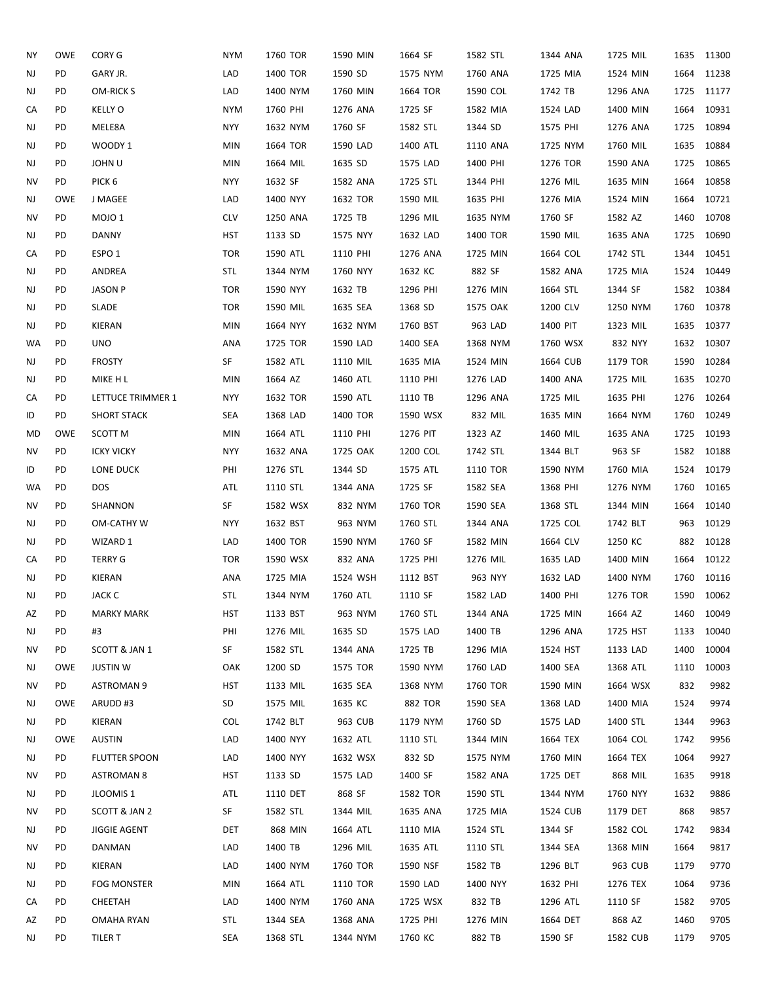| ΝY | OWE        | CORY G              | <b>NYM</b> | 1760 TOR | 1590 MIN | 1664 SF        | 1582 STL | 1344 ANA | 1725 MIL |      | 1635 11300 |
|----|------------|---------------------|------------|----------|----------|----------------|----------|----------|----------|------|------------|
| NJ | PD         | GARY JR.            | LAD        | 1400 TOR | 1590 SD  | 1575 NYM       | 1760 ANA | 1725 MIA | 1524 MIN | 1664 | 11238      |
| NJ | PD         | <b>OM-RICK S</b>    | LAD        | 1400 NYM | 1760 MIN | 1664 TOR       | 1590 COL | 1742 TB  | 1296 ANA | 1725 | 11177      |
| CA | PD         | <b>KELLY O</b>      | <b>NYM</b> | 1760 PHI | 1276 ANA | 1725 SF        | 1582 MIA | 1524 LAD | 1400 MIN | 1664 | 10931      |
| NJ | PD         | MELE8A              | NYY        | 1632 NYM | 1760 SF  | 1582 STL       | 1344 SD  | 1575 PHI | 1276 ANA | 1725 | 10894      |
| NJ | PD         | WOODY 1             | <b>MIN</b> | 1664 TOR | 1590 LAD | 1400 ATL       | 1110 ANA | 1725 NYM | 1760 MIL |      | 1635 10884 |
| NJ | PD         | JOHN U              | <b>MIN</b> | 1664 MIL | 1635 SD  | 1575 LAD       | 1400 PHI | 1276 TOR | 1590 ANA | 1725 | 10865      |
| ΝV | PD         | PICK <sub>6</sub>   | <b>NYY</b> | 1632 SF  | 1582 ANA | 1725 STL       | 1344 PHI | 1276 MIL | 1635 MIN | 1664 | 10858      |
| NJ | <b>OWE</b> | J MAGEE             | LAD        | 1400 NYY | 1632 TOR | 1590 MIL       | 1635 PHI | 1276 MIA | 1524 MIN | 1664 | 10721      |
| NV | PD         | MOJO <sub>1</sub>   | <b>CLV</b> | 1250 ANA | 1725 TB  | 1296 MIL       | 1635 NYM | 1760 SF  | 1582 AZ  | 1460 | 10708      |
| NJ | PD         | <b>DANNY</b>        | <b>HST</b> | 1133 SD  | 1575 NYY | 1632 LAD       | 1400 TOR | 1590 MIL | 1635 ANA |      | 1725 10690 |
| СA | PD         | ESPO <sub>1</sub>   | <b>TOR</b> | 1590 ATL | 1110 PHI | 1276 ANA       | 1725 MIN | 1664 COL | 1742 STL | 1344 | 10451      |
| NJ | PD         | ANDREA              | <b>STL</b> | 1344 NYM | 1760 NYY | 1632 KC        | 882 SF   | 1582 ANA | 1725 MIA |      | 1524 10449 |
| NJ | PD         | <b>JASON P</b>      | <b>TOR</b> | 1590 NYY | 1632 TB  | 1296 PHI       | 1276 MIN | 1664 STL | 1344 SF  |      | 1582 10384 |
| NJ | PD         | SLADE               | <b>TOR</b> | 1590 MIL | 1635 SEA | 1368 SD        | 1575 OAK | 1200 CLV | 1250 NYM | 1760 | 10378      |
| NJ | PD         | KIERAN              | <b>MIN</b> | 1664 NYY | 1632 NYM | 1760 BST       | 963 LAD  | 1400 PIT | 1323 MIL | 1635 | 10377      |
| WA | <b>PD</b>  | <b>UNO</b>          | ANA        | 1725 TOR | 1590 LAD | 1400 SEA       | 1368 NYM | 1760 WSX | 832 NYY  |      | 1632 10307 |
| NJ | PD         | <b>FROSTY</b>       | SF         | 1582 ATL | 1110 MIL | 1635 MIA       | 1524 MIN | 1664 CUB | 1179 TOR |      | 1590 10284 |
| NJ | PD         | MIKE H L            | <b>MIN</b> | 1664 AZ  | 1460 ATL | 1110 PHI       | 1276 LAD | 1400 ANA | 1725 MIL | 1635 | 10270      |
| CA | PD         | LETTUCE TRIMMER 1   | <b>NYY</b> | 1632 TOR | 1590 ATL | 1110 TB        | 1296 ANA | 1725 MIL | 1635 PHI |      | 1276 10264 |
| ID | PD         | <b>SHORT STACK</b>  | <b>SEA</b> | 1368 LAD | 1400 TOR | 1590 WSX       | 832 MIL  | 1635 MIN | 1664 NYM | 1760 | 10249      |
| MD | <b>OWE</b> | SCOTT M             | <b>MIN</b> | 1664 ATL | 1110 PHI | 1276 PIT       | 1323 AZ  | 1460 MIL | 1635 ANA | 1725 | 10193      |
| NV | PD         | <b>ICKY VICKY</b>   | <b>NYY</b> | 1632 ANA | 1725 OAK | 1200 COL       | 1742 STL | 1344 BLT | 963 SF   |      | 1582 10188 |
| ID | PD         | LONE DUCK           | PHI        | 1276 STL | 1344 SD  | 1575 ATL       | 1110 TOR | 1590 NYM | 1760 MIA |      | 1524 10179 |
| WA | PD         | <b>DOS</b>          | ATL        | 1110 STL | 1344 ANA | 1725 SF        | 1582 SEA | 1368 PHI | 1276 NYM | 1760 | 10165      |
| NV | PD         | SHANNON             | SF         | 1582 WSX | 832 NYM  | 1760 TOR       | 1590 SEA | 1368 STL | 1344 MIN | 1664 | 10140      |
| NJ | PD         | OM-CATHY W          | NYY        | 1632 BST | 963 NYM  | 1760 STL       | 1344 ANA | 1725 COL | 1742 BLT | 963  | 10129      |
| NJ | PD         | WIZARD 1            | LAD        | 1400 TOR | 1590 NYM | 1760 SF        | 1582 MIN | 1664 CLV | 1250 KC  | 882  | 10128      |
| CA | PD         | <b>TERRY G</b>      | <b>TOR</b> | 1590 WSX | 832 ANA  | 1725 PHI       | 1276 MIL | 1635 LAD | 1400 MIN | 1664 | 10122      |
| NJ | PD         | KIERAN              | ANA        | 1725 MIA | 1524 WSH | 1112 BST       | 963 NYY  | 1632 LAD | 1400 NYM | 1760 | 10116      |
| NJ | PD         | JACK C              | STL        | 1344 NYM | 1760 ATL | 1110 SF        | 1582 LAD | 1400 PHI | 1276 TOR |      | 1590 10062 |
| AZ | PD         | <b>MARKY MARK</b>   | HST        | 1133 BST | 963 NYM  | 1760 STL       | 1344 ANA | 1725 MIN | 1664 AZ  | 1460 | 10049      |
| NJ | PD         | #3                  | PHI        | 1276 MIL | 1635 SD  | 1575 LAD       | 1400 TB  | 1296 ANA | 1725 HST | 1133 | 10040      |
| ΝV | PD         | SCOTT & JAN 1       | SF         | 1582 STL | 1344 ANA | 1725 TB        | 1296 MIA | 1524 HST | 1133 LAD | 1400 | 10004      |
| NJ | OWE        | <b>JUSTIN W</b>     | OAK        | 1200 SD  | 1575 TOR | 1590 NYM       | 1760 LAD | 1400 SEA | 1368 ATL | 1110 | 10003      |
| ΝV | PD         | <b>ASTROMAN 9</b>   | HST        | 1133 MIL | 1635 SEA | 1368 NYM       | 1760 TOR | 1590 MIN | 1664 WSX | 832  | 9982       |
| NJ | OWE        | ARUDD#3             | SD         | 1575 MIL | 1635 KC  | <b>882 TOR</b> | 1590 SEA | 1368 LAD | 1400 MIA | 1524 | 9974       |
| NJ | PD         | KIERAN              | <b>COL</b> | 1742 BLT | 963 CUB  | 1179 NYM       | 1760 SD  | 1575 LAD | 1400 STL | 1344 | 9963       |
| NJ | OWE        | AUSTIN              | LAD        | 1400 NYY | 1632 ATL | 1110 STL       | 1344 MIN | 1664 TEX | 1064 COL | 1742 | 9956       |
| NJ | PD         | FLUTTER SPOON       | LAD        | 1400 NYY | 1632 WSX | 832 SD         | 1575 NYM | 1760 MIN | 1664 TEX | 1064 | 9927       |
| NV | PD         | <b>ASTROMAN 8</b>   | HST        | 1133 SD  | 1575 LAD | 1400 SF        | 1582 ANA | 1725 DET | 868 MIL  | 1635 | 9918       |
| NJ | PD         | JLOOMIS 1           | ATL        | 1110 DET | 868 SF   | 1582 TOR       | 1590 STL | 1344 NYM | 1760 NYY | 1632 | 9886       |
| ΝV | PD         | SCOTT & JAN 2       | SF         | 1582 STL | 1344 MIL | 1635 ANA       | 1725 MIA | 1524 CUB | 1179 DET | 868  | 9857       |
| NJ | PD         | <b>JIGGIE AGENT</b> | DET        | 868 MIN  | 1664 ATL | 1110 MIA       | 1524 STL | 1344 SF  | 1582 COL | 1742 | 9834       |
| ΝV | PD         | DANMAN              | LAD        | 1400 TB  | 1296 MIL | 1635 ATL       | 1110 STL | 1344 SEA | 1368 MIN | 1664 | 9817       |
| NJ | PD         | KIERAN              | LAD        | 1400 NYM | 1760 TOR | 1590 NSF       | 1582 TB  | 1296 BLT | 963 CUB  | 1179 | 9770       |
| NJ | PD         | <b>FOG MONSTER</b>  | MIN        | 1664 ATL | 1110 TOR | 1590 LAD       | 1400 NYY | 1632 PHI | 1276 TEX | 1064 | 9736       |
| CA | PD         | CHEETAH             | LAD        | 1400 NYM | 1760 ANA | 1725 WSX       | 832 TB   | 1296 ATL | 1110 SF  | 1582 | 9705       |
| AZ | PD         | OMAHA RYAN          | <b>STL</b> | 1344 SEA | 1368 ANA | 1725 PHI       | 1276 MIN | 1664 DET | 868 AZ   | 1460 | 9705       |
| NJ | PD         | TILER T             | SEA        | 1368 STL | 1344 NYM | 1760 KC        | 882 TB   | 1590 SF  | 1582 CUB | 1179 | 9705       |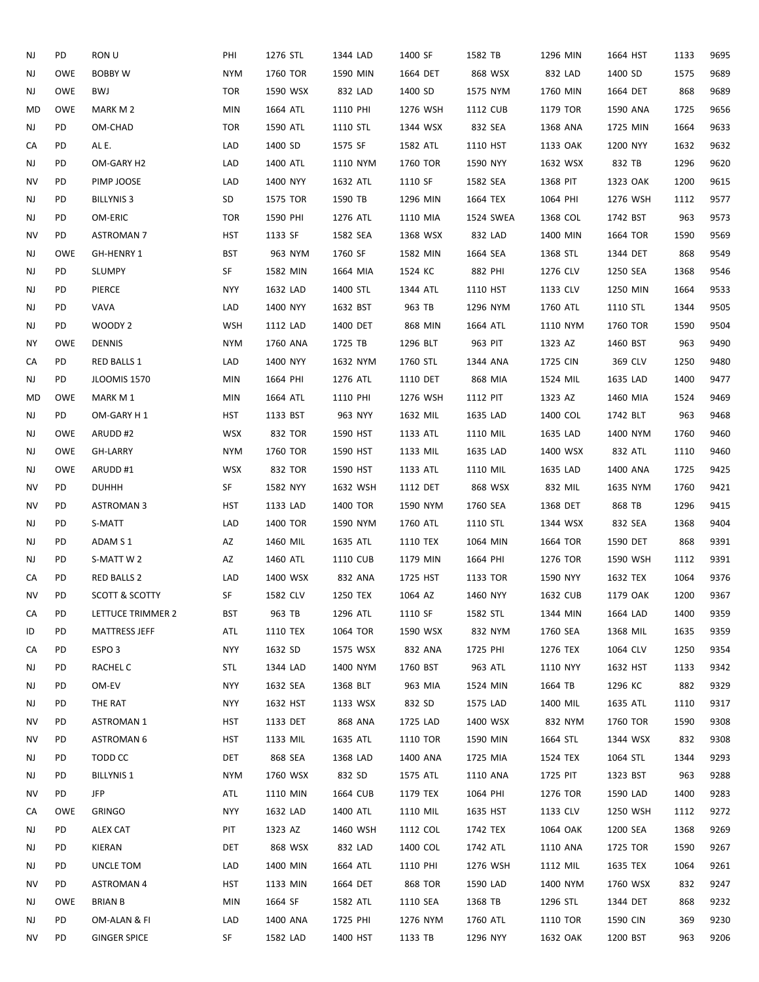| NJ | PD         | RON U                     | PHI        | 1276 STL | 1344 LAD | 1400 SF        | 1582 TB   | 1296 MIN | 1664 HST | 1133 | 9695 |
|----|------------|---------------------------|------------|----------|----------|----------------|-----------|----------|----------|------|------|
| NJ | <b>OWE</b> | <b>BOBBY W</b>            | <b>NYM</b> | 1760 TOR | 1590 MIN | 1664 DET       | 868 WSX   | 832 LAD  | 1400 SD  | 1575 | 9689 |
| NJ | OWE        | BWJ                       | <b>TOR</b> | 1590 WSX | 832 LAD  | 1400 SD        | 1575 NYM  | 1760 MIN | 1664 DET | 868  | 9689 |
| MD | <b>OWE</b> | MARK M 2                  | <b>MIN</b> | 1664 ATL | 1110 PHI | 1276 WSH       | 1112 CUB  | 1179 TOR | 1590 ANA | 1725 | 9656 |
| NJ | PD         | OM-CHAD                   | <b>TOR</b> | 1590 ATL | 1110 STL | 1344 WSX       | 832 SEA   | 1368 ANA | 1725 MIN | 1664 | 9633 |
| CA | PD         | AL E.                     | LAD        | 1400 SD  | 1575 SF  | 1582 ATL       | 1110 HST  | 1133 OAK | 1200 NYY | 1632 | 9632 |
| NJ | PD         | OM-GARY H2                | LAD        | 1400 ATL | 1110 NYM | 1760 TOR       | 1590 NYY  | 1632 WSX | 832 TB   | 1296 | 9620 |
| NV | PD         | PIMP JOOSE                | LAD        | 1400 NYY | 1632 ATL | 1110 SF        | 1582 SEA  | 1368 PIT | 1323 OAK | 1200 | 9615 |
| NJ | PD         | <b>BILLYNIS 3</b>         | SD         | 1575 TOR | 1590 TB  | 1296 MIN       | 1664 TEX  | 1064 PHI | 1276 WSH | 1112 | 9577 |
| NJ | PD         | OM-ERIC                   | <b>TOR</b> | 1590 PHI | 1276 ATL | 1110 MIA       | 1524 SWEA | 1368 COL | 1742 BST | 963  | 9573 |
| NV | PD         | <b>ASTROMAN 7</b>         | <b>HST</b> | 1133 SF  | 1582 SEA | 1368 WSX       | 832 LAD   | 1400 MIN | 1664 TOR | 1590 | 9569 |
| NJ | OWE        | GH-HENRY 1                | <b>BST</b> | 963 NYM  | 1760 SF  | 1582 MIN       | 1664 SEA  | 1368 STL | 1344 DET | 868  | 9549 |
| NJ | PD         | <b>SLUMPY</b>             | SF         | 1582 MIN | 1664 MIA | 1524 KC        | 882 PHI   | 1276 CLV | 1250 SEA | 1368 | 9546 |
| NJ | PD         | PIERCE                    | <b>NYY</b> | 1632 LAD | 1400 STL | 1344 ATL       | 1110 HST  | 1133 CLV | 1250 MIN | 1664 | 9533 |
| NJ | PD         | VAVA                      | LAD        | 1400 NYY | 1632 BST | 963 TB         | 1296 NYM  | 1760 ATL | 1110 STL | 1344 | 9505 |
| NJ | PD         | WOODY 2                   | <b>WSH</b> | 1112 LAD | 1400 DET | 868 MIN        | 1664 ATL  | 1110 NYM | 1760 TOR | 1590 | 9504 |
| ΝY | <b>OWE</b> | <b>DENNIS</b>             | <b>NYM</b> | 1760 ANA | 1725 TB  | 1296 BLT       | 963 PIT   | 1323 AZ  | 1460 BST | 963  | 9490 |
| CA | PD         | <b>RED BALLS 1</b>        | LAD        | 1400 NYY | 1632 NYM | 1760 STL       | 1344 ANA  | 1725 CIN | 369 CLV  | 1250 | 9480 |
| NJ | PD         | <b>JLOOMIS 1570</b>       | <b>MIN</b> | 1664 PHI | 1276 ATL | 1110 DET       | 868 MIA   | 1524 MIL | 1635 LAD | 1400 | 9477 |
| MD | <b>OWE</b> | MARK M 1                  | <b>MIN</b> | 1664 ATL | 1110 PHI | 1276 WSH       | 1112 PIT  | 1323 AZ  | 1460 MIA | 1524 | 9469 |
| NJ | PD         | OM-GARY H 1               | <b>HST</b> | 1133 BST | 963 NYY  | 1632 MIL       | 1635 LAD  | 1400 COL | 1742 BLT | 963  | 9468 |
|    | OWE        |                           | <b>WSX</b> |          | 1590 HST |                |           | 1635 LAD |          | 1760 | 9460 |
| NJ | OWE        | ARUDD#2                   | <b>NYM</b> | 832 TOR  |          | 1133 ATL       | 1110 MIL  |          | 1400 NYM |      | 9460 |
| NJ |            | <b>GH-LARRY</b>           |            | 1760 TOR | 1590 HST | 1133 MIL       | 1635 LAD  | 1400 WSX | 832 ATL  | 1110 |      |
| NJ | OWE        | ARUDD#1                   | WSX        | 832 TOR  | 1590 HST | 1133 ATL       | 1110 MIL  | 1635 LAD | 1400 ANA | 1725 | 9425 |
| NV | PD         | <b>DUHHH</b>              | SF         | 1582 NYY | 1632 WSH | 1112 DET       | 868 WSX   | 832 MIL  | 1635 NYM | 1760 | 9421 |
| ΝV | PD         | <b>ASTROMAN 3</b>         | <b>HST</b> | 1133 LAD | 1400 TOR | 1590 NYM       | 1760 SEA  | 1368 DET | 868 TB   | 1296 | 9415 |
| NJ | PD         | S-MATT                    | LAD        | 1400 TOR | 1590 NYM | 1760 ATL       | 1110 STL  | 1344 WSX | 832 SEA  | 1368 | 9404 |
| NJ | PD         | ADAM S1                   | AZ         | 1460 MIL | 1635 ATL | 1110 TEX       | 1064 MIN  | 1664 TOR | 1590 DET | 868  | 9391 |
| NJ | PD         | S-MATT W 2                | AZ         | 1460 ATL | 1110 CUB | 1179 MIN       | 1664 PHI  | 1276 TOR | 1590 WSH | 1112 | 9391 |
| CA | PD         | <b>RED BALLS 2</b>        | LAD        | 1400 WSX | 832 ANA  | 1725 HST       | 1133 TOR  | 1590 NYY | 1632 TEX | 1064 | 9376 |
| ΝV | PD         | <b>SCOTT &amp; SCOTTY</b> | SF         | 1582 CLV | 1250 TEX | 1064 AZ        | 1460 NYY  | 1632 CUB | 1179 OAK | 1200 | 9367 |
| CA | PD         | LETTUCE TRIMMER 2         | <b>BST</b> | 963 TB   | 1296 ATL | 1110 SF        | 1582 STL  | 1344 MIN | 1664 LAD | 1400 | 9359 |
| ID | PD         | <b>MATTRESS JEFF</b>      | ATL        | 1110 TEX | 1064 TOR | 1590 WSX       | 832 NYM   | 1760 SEA | 1368 MIL | 1635 | 9359 |
| CA | PD         | ESPO <sub>3</sub>         | <b>NYY</b> | 1632 SD  | 1575 WSX | 832 ANA        | 1725 PHI  | 1276 TEX | 1064 CLV | 1250 | 9354 |
| NJ | PD         | RACHEL C                  | STL        | 1344 LAD | 1400 NYM | 1760 BST       | 963 ATL   | 1110 NYY | 1632 HST | 1133 | 9342 |
| NJ | PD         | OM-EV                     | <b>NYY</b> | 1632 SEA | 1368 BLT | 963 MIA        | 1524 MIN  | 1664 TB  | 1296 KC  | 882  | 9329 |
| NJ | PD         | THE RAT                   | NYY        | 1632 HST | 1133 WSX | 832 SD         | 1575 LAD  | 1400 MIL | 1635 ATL | 1110 | 9317 |
| ΝV | PD         | <b>ASTROMAN 1</b>         | HST        | 1133 DET | 868 ANA  | 1725 LAD       | 1400 WSX  | 832 NYM  | 1760 TOR | 1590 | 9308 |
| ΝV | PD         | <b>ASTROMAN 6</b>         | HST        | 1133 MIL | 1635 ATL | 1110 TOR       | 1590 MIN  | 1664 STL | 1344 WSX | 832  | 9308 |
| NJ | PD         | TODD CC                   | DET        | 868 SEA  | 1368 LAD | 1400 ANA       | 1725 MIA  | 1524 TEX | 1064 STL | 1344 | 9293 |
| NJ | PD         | <b>BILLYNIS 1</b>         | <b>NYM</b> | 1760 WSX | 832 SD   | 1575 ATL       | 1110 ANA  | 1725 PIT | 1323 BST | 963  | 9288 |
| ΝV | PD         | JFP                       | ATL        | 1110 MIN | 1664 CUB | 1179 TEX       | 1064 PHI  | 1276 TOR | 1590 LAD | 1400 | 9283 |
| CA | OWE        | <b>GRINGO</b>             | NYY        | 1632 LAD | 1400 ATL | 1110 MIL       | 1635 HST  | 1133 CLV | 1250 WSH | 1112 | 9272 |
| NJ | PD         | ALEX CAT                  | PIT        | 1323 AZ  | 1460 WSH | 1112 COL       | 1742 TEX  | 1064 OAK | 1200 SEA | 1368 | 9269 |
| NJ | PD         | KIERAN                    | DET        | 868 WSX  | 832 LAD  | 1400 COL       | 1742 ATL  | 1110 ANA | 1725 TOR | 1590 | 9267 |
| NJ | PD         | UNCLE TOM                 | LAD        | 1400 MIN | 1664 ATL | 1110 PHI       | 1276 WSH  | 1112 MIL | 1635 TEX | 1064 | 9261 |
| ΝV | PD         | <b>ASTROMAN 4</b>         | HST        | 1133 MIN | 1664 DET | <b>868 TOR</b> | 1590 LAD  | 1400 NYM | 1760 WSX | 832  | 9247 |
| NJ | OWE        | BRIAN B                   | <b>MIN</b> | 1664 SF  | 1582 ATL | 1110 SEA       | 1368 TB   | 1296 STL | 1344 DET | 868  | 9232 |
| NJ | PD         | OM-ALAN & FI              | LAD        | 1400 ANA | 1725 PHI | 1276 NYM       | 1760 ATL  | 1110 TOR | 1590 CIN | 369  | 9230 |
| ΝV | PD         | <b>GINGER SPICE</b>       | SF         | 1582 LAD | 1400 HST | 1133 TB        | 1296 NYY  | 1632 OAK | 1200 BST | 963  | 9206 |